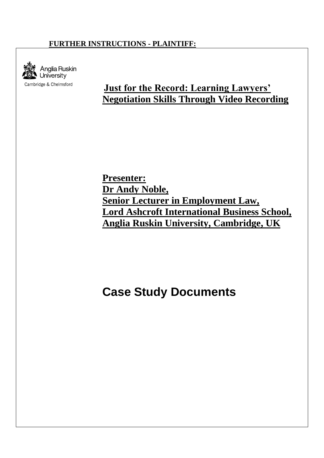## **FURTHER INSTRUCTIONS - PLAINTIFF:**



## **Just for the Record: Learning Lawyers' Negotiation Skills Through Video Recording**

**Presenter: Dr Andy Noble, Senior Lecturer in Employment Law, Lord Ashcroft International Business School, Anglia Ruskin University, Cambridge, UK**

**Case Study Documents**